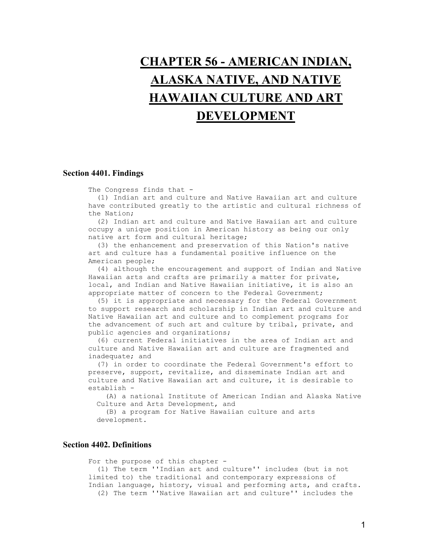# **[CHAPTER 56 - AMERICAN INDIAN,](http://caselaw.lp.findlaw.com/casecode/uscodes/20/chapters/56/toc.html)  [ALASKA NATIVE, AND NATIVE](http://caselaw.lp.findlaw.com/casecode/uscodes/20/chapters/56/toc.html)  [HAWAIIAN CULTURE AND ART](http://caselaw.lp.findlaw.com/casecode/uscodes/20/chapters/56/toc.html)  [DEVELOPMENT](http://caselaw.lp.findlaw.com/casecode/uscodes/20/chapters/56/toc.html)**

## **Section 4401. Findings**

The Congress finds that -

 (1) Indian art and culture and Native Hawaiian art and culture have contributed greatly to the artistic and cultural richness of the Nation;

 (2) Indian art and culture and Native Hawaiian art and culture occupy a unique position in American history as being our only native art form and cultural heritage;

 (3) the enhancement and preservation of this Nation's native art and culture has a fundamental positive influence on the American people;

 (4) although the encouragement and support of Indian and Native Hawaiian arts and crafts are primarily a matter for private, local, and Indian and Native Hawaiian initiative, it is also an appropriate matter of concern to the Federal Government;

 (5) it is appropriate and necessary for the Federal Government to support research and scholarship in Indian art and culture and Native Hawaiian art and culture and to complement programs for the advancement of such art and culture by tribal, private, and public agencies and organizations;

 (6) current Federal initiatives in the area of Indian art and culture and Native Hawaiian art and culture are fragmented and inadequate; and

 (7) in order to coordinate the Federal Government's effort to preserve, support, revitalize, and disseminate Indian art and culture and Native Hawaiian art and culture, it is desirable to establish -

 (A) a national Institute of American Indian and Alaska Native Culture and Arts Development, and

 (B) a program for Native Hawaiian culture and arts development.

## **Section 4402. Definitions**

 For the purpose of this chapter - (1) The term ''Indian art and culture'' includes (but is not limited to) the traditional and contemporary expressions of Indian language, history, visual and performing arts, and crafts. (2) The term ''Native Hawaiian art and culture'' includes the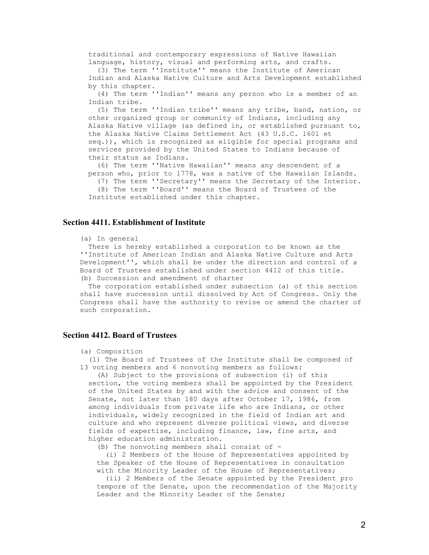traditional and contemporary expressions of Native Hawaiian language, history, visual and performing arts, and crafts.

 (3) The term ''Institute'' means the Institute of American Indian and Alaska Native Culture and Arts Development established by this chapter.

 (4) The term ''Indian'' means any person who is a member of an Indian tribe.

 (5) The term ''Indian tribe'' means any tribe, band, nation, or other organized group or community of Indians, including any Alaska Native village (as defined in, or established pursuant to, the Alaska Native Claims Settlement Act (43 U.S.C. 1601 et seq.)), which is recognized as eligible for special programs and services provided by the United States to Indians because of their status as Indians.

 (6) The term ''Native Hawaiian'' means any descendent of a person who, prior to 1778, was a native of the Hawaiian Islands.

 (7) The term ''Secretary'' means the Secretary of the Interior. (8) The term ''Board'' means the Board of Trustees of the Institute established under this chapter.

#### **Section 4411. Establishment of Institute**

#### (a) In general

 There is hereby established a corporation to be known as the ''Institute of American Indian and Alaska Native Culture and Arts Development'', which shall be under the direction and control of a Board of Trustees established under section 4412 of this title. (b) Succession and amendment of charter

 The corporation established under subsection (a) of this section shall have succession until dissolved by Act of Congress. Only the Congress shall have the authority to revise or amend the charter of such corporation.

## **Section 4412. Board of Trustees**

#### (a) Composition

 (1) The Board of Trustees of the Institute shall be composed of 13 voting members and 6 nonvoting members as follows:

 (A) Subject to the provisions of subsection (i) of this section, the voting members shall be appointed by the President of the United States by and with the advice and consent of the Senate, not later than 180 days after October 17, 1986, from among individuals from private life who are Indians, or other individuals, widely recognized in the field of Indian art and culture and who represent diverse political views, and diverse fields of expertise, including finance, law, fine arts, and higher education administration.

(B) The nonvoting members shall consist of -

 (i) 2 Members of the House of Representatives appointed by the Speaker of the House of Representatives in consultation with the Minority Leader of the House of Representatives;

 (ii) 2 Members of the Senate appointed by the President pro tempore of the Senate, upon the recommendation of the Majority Leader and the Minority Leader of the Senate;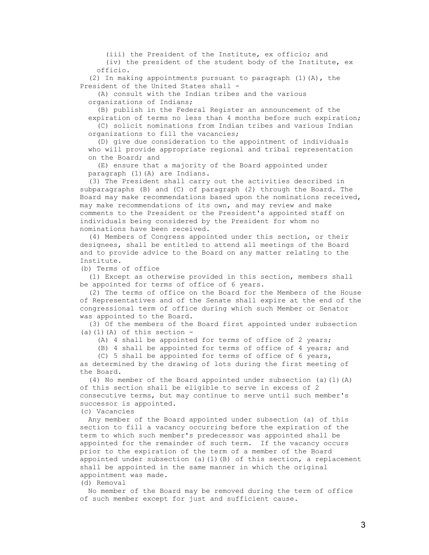(iii) the President of the Institute, ex officio; and (iv) the president of the student body of the Institute, ex officio.

 (2) In making appointments pursuant to paragraph (1)(A), the President of the United States shall -

 (A) consult with the Indian tribes and the various organizations of Indians;

 (B) publish in the Federal Register an announcement of the expiration of terms no less than 4 months before such expiration; (C) solicit nominations from Indian tribes and various Indian organizations to fill the vacancies;

 (D) give due consideration to the appointment of individuals who will provide appropriate regional and tribal representation on the Board; and

 (E) ensure that a majority of the Board appointed under paragraph (1)(A) are Indians.

 (3) The President shall carry out the activities described in subparagraphs (B) and (C) of paragraph (2) through the Board. The Board may make recommendations based upon the nominations received, may make recommendations of its own, and may review and make comments to the President or the President's appointed staff on individuals being considered by the President for whom no nominations have been received.

 (4) Members of Congress appointed under this section, or their designees, shall be entitled to attend all meetings of the Board and to provide advice to the Board on any matter relating to the Institute.

(b) Terms of office

 (1) Except as otherwise provided in this section, members shall be appointed for terms of office of 6 years.

 (2) The terms of office on the Board for the Members of the House of Representatives and of the Senate shall expire at the end of the congressional term of office during which such Member or Senator was appointed to the Board.

 (3) Of the members of the Board first appointed under subsection (a)(1)(A) of this section  $-$ 

(A) 4 shall be appointed for terms of office of 2 years;

(B) 4 shall be appointed for terms of office of 4 years; and

 (C) 5 shall be appointed for terms of office of 6 years, as determined by the drawing of lots during the first meeting of the Board.

 (4) No member of the Board appointed under subsection (a)(1)(A) of this section shall be eligible to serve in excess of 2 consecutive terms, but may continue to serve until such member's successor is appointed.

(c) Vacancies

 Any member of the Board appointed under subsection (a) of this section to fill a vacancy occurring before the expiration of the term to which such member's predecessor was appointed shall be appointed for the remainder of such term. If the vacancy occurs prior to the expiration of the term of a member of the Board appointed under subsection (a)(1)(B) of this section, a replacement shall be appointed in the same manner in which the original appointment was made.

(d) Removal

 No member of the Board may be removed during the term of office of such member except for just and sufficient cause.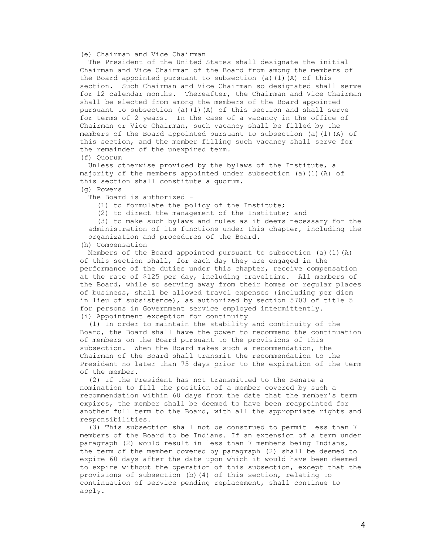#### (e) Chairman and Vice Chairman

 The President of the United States shall designate the initial Chairman and Vice Chairman of the Board from among the members of the Board appointed pursuant to subsection (a)(1)(A) of this section. Such Chairman and Vice Chairman so designated shall serve for 12 calendar months. Thereafter, the Chairman and Vice Chairman shall be elected from among the members of the Board appointed pursuant to subsection (a)(1)(A) of this section and shall serve for terms of 2 years. In the case of a vacancy in the office of Chairman or Vice Chairman, such vacancy shall be filled by the members of the Board appointed pursuant to subsection (a)(1)(A) of this section, and the member filling such vacancy shall serve for the remainder of the unexpired term.

(f) Quorum

 Unless otherwise provided by the bylaws of the Institute, a majority of the members appointed under subsection (a)(1)(A) of this section shall constitute a quorum.

(g) Powers

The Board is authorized -

(1) to formulate the policy of the Institute;

(2) to direct the management of the Institute; and

 (3) to make such bylaws and rules as it deems necessary for the administration of its functions under this chapter, including the organization and procedures of the Board.

(h) Compensation

Members of the Board appointed pursuant to subsection (a)(1)(A) of this section shall, for each day they are engaged in the performance of the duties under this chapter, receive compensation at the rate of \$125 per day, including traveltime. All members of the Board, while so serving away from their homes or regular places of business, shall be allowed travel expenses (including per diem in lieu of subsistence), as authorized by section 5703 of title 5 for persons in Government service employed intermittently. (i) Appointment exception for continuity

 (1) In order to maintain the stability and continuity of the Board, the Board shall have the power to recommend the continuation of members on the Board pursuant to the provisions of this subsection. When the Board makes such a recommendation, the Chairman of the Board shall transmit the recommendation to the President no later than 75 days prior to the expiration of the term of the member.

 (2) If the President has not transmitted to the Senate a nomination to fill the position of a member covered by such a recommendation within 60 days from the date that the member's term expires, the member shall be deemed to have been reappointed for another full term to the Board, with all the appropriate rights and responsibilities.

 (3) This subsection shall not be construed to permit less than 7 members of the Board to be Indians. If an extension of a term under paragraph (2) would result in less than 7 members being Indians, the term of the member covered by paragraph (2) shall be deemed to expire 60 days after the date upon which it would have been deemed to expire without the operation of this subsection, except that the provisions of subsection (b)(4) of this section, relating to continuation of service pending replacement, shall continue to apply.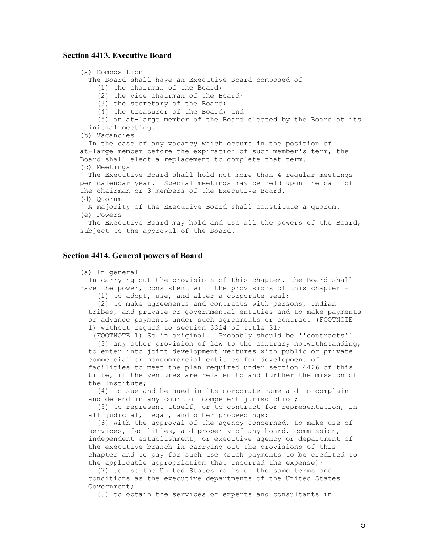## **Section 4413. Executive Board**

```
 (a) Composition 
 The Board shall have an Executive Board composed of -
    (1) the chairman of the Board; 
    (2) the vice chairman of the Board; 
    (3) the secretary of the Board; 
    (4) the treasurer of the Board; and 
    (5) an at-large member of the Board elected by the Board at its 
  initial meeting. 
(b) Vacancies 
  In the case of any vacancy which occurs in the position of 
at-large member before the expiration of such member's term, the 
Board shall elect a replacement to complete that term. 
(c) Meetings 
  The Executive Board shall hold not more than 4 regular meetings 
per calendar year. Special meetings may be held upon the call of 
the chairman or 3 members of the Executive Board. 
(d) Quorum 
  A majority of the Executive Board shall constitute a quorum. 
(e) Powers 
  The Executive Board may hold and use all the powers of the Board, 
subject to the approval of the Board.
```
## **Section 4414. General powers of Board**

```
 (a) In general
```
 In carrying out the provisions of this chapter, the Board shall have the power, consistent with the provisions of this chapter - (1) to adopt, use, and alter a corporate seal;

 (2) to make agreements and contracts with persons, Indian tribes, and private or governmental entities and to make payments or advance payments under such agreements or contract (FOOTNOTE 1) without regard to section 3324 of title 31;

 (FOOTNOTE 1) So in original. Probably should be ''contracts''. (3) any other provision of law to the contrary notwithstanding, to enter into joint development ventures with public or private commercial or noncommercial entities for development of facilities to meet the plan required under section 4426 of this title, if the ventures are related to and further the mission of the Institute;

 (4) to sue and be sued in its corporate name and to complain and defend in any court of competent jurisdiction;

 (5) to represent itself, or to contract for representation, in all judicial, legal, and other proceedings;

 (6) with the approval of the agency concerned, to make use of services, facilities, and property of any board, commission, independent establishment, or executive agency or department of the executive branch in carrying out the provisions of this chapter and to pay for such use (such payments to be credited to the applicable appropriation that incurred the expense);

 (7) to use the United States mails on the same terms and conditions as the executive departments of the United States Government;

(8) to obtain the services of experts and consultants in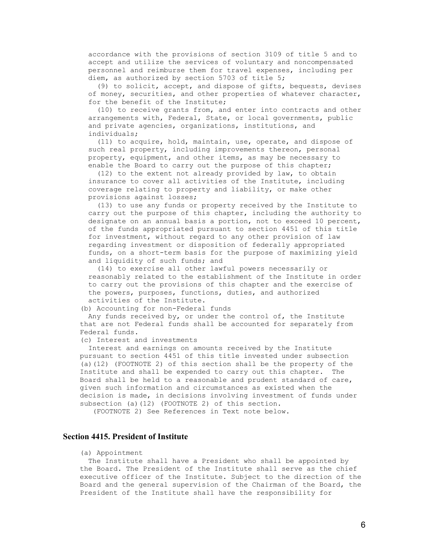accordance with the provisions of section 3109 of title 5 and to accept and utilize the services of voluntary and noncompensated personnel and reimburse them for travel expenses, including per diem, as authorized by section 5703 of title 5;

 (9) to solicit, accept, and dispose of gifts, bequests, devises of money, securities, and other properties of whatever character, for the benefit of the Institute;

 (10) to receive grants from, and enter into contracts and other arrangements with, Federal, State, or local governments, public and private agencies, organizations, institutions, and individuals;

 (11) to acquire, hold, maintain, use, operate, and dispose of such real property, including improvements thereon, personal property, equipment, and other items, as may be necessary to enable the Board to carry out the purpose of this chapter;

 (12) to the extent not already provided by law, to obtain insurance to cover all activities of the Institute, including coverage relating to property and liability, or make other provisions against losses;

 (13) to use any funds or property received by the Institute to carry out the purpose of this chapter, including the authority to designate on an annual basis a portion, not to exceed 10 percent, of the funds appropriated pursuant to section 4451 of this title for investment, without regard to any other provision of law regarding investment or disposition of federally appropriated funds, on a short-term basis for the purpose of maximizing yield and liquidity of such funds; and

 (14) to exercise all other lawful powers necessarily or reasonably related to the establishment of the Institute in order to carry out the provisions of this chapter and the exercise of the powers, purposes, functions, duties, and authorized activities of the Institute.

(b) Accounting for non-Federal funds

 Any funds received by, or under the control of, the Institute that are not Federal funds shall be accounted for separately from Federal funds.

(c) Interest and investments

 Interest and earnings on amounts received by the Institute pursuant to section 4451 of this title invested under subsection (a)(12) (FOOTNOTE 2) of this section shall be the property of the Institute and shall be expended to carry out this chapter. The Board shall be held to a reasonable and prudent standard of care, given such information and circumstances as existed when the decision is made, in decisions involving investment of funds under subsection (a)(12) (FOOTNOTE 2) of this section.

(FOOTNOTE 2) See References in Text note below.

## **Section 4415. President of Institute**

#### (a) Appointment

 The Institute shall have a President who shall be appointed by the Board. The President of the Institute shall serve as the chief executive officer of the Institute. Subject to the direction of the Board and the general supervision of the Chairman of the Board, the President of the Institute shall have the responsibility for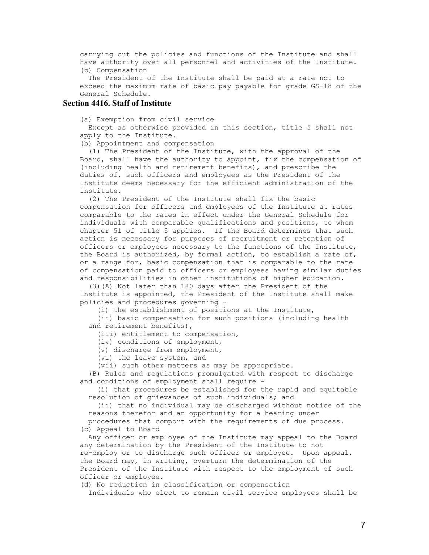carrying out the policies and functions of the Institute and shall have authority over all personnel and activities of the Institute. (b) Compensation

 The President of the Institute shall be paid at a rate not to exceed the maximum rate of basic pay payable for grade GS-18 of the General Schedule.

## **Section 4416. Staff of Institute**

(a) Exemption from civil service

 Except as otherwise provided in this section, title 5 shall not apply to the Institute.

(b) Appointment and compensation

 (1) The President of the Institute, with the approval of the Board, shall have the authority to appoint, fix the compensation of (including health and retirement benefits), and prescribe the duties of, such officers and employees as the President of the Institute deems necessary for the efficient administration of the Institute.

 (2) The President of the Institute shall fix the basic compensation for officers and employees of the Institute at rates comparable to the rates in effect under the General Schedule for individuals with comparable qualifications and positions, to whom chapter 51 of title 5 applies. If the Board determines that such action is necessary for purposes of recruitment or retention of officers or employees necessary to the functions of the Institute, the Board is authorized, by formal action, to establish a rate of, or a range for, basic compensation that is comparable to the rate of compensation paid to officers or employees having similar duties and responsibilities in other institutions of higher education.

 (3)(A) Not later than 180 days after the President of the Institute is appointed, the President of the Institute shall make policies and procedures governing -

(i) the establishment of positions at the Institute,

 (ii) basic compensation for such positions (including health and retirement benefits),

(iii) entitlement to compensation,

(iv) conditions of employment,

(v) discharge from employment,

(vi) the leave system, and

(vii) such other matters as may be appropriate.

 (B) Rules and regulations promulgated with respect to discharge and conditions of employment shall require -

 (i) that procedures be established for the rapid and equitable resolution of grievances of such individuals; and

 (ii) that no individual may be discharged without notice of the reasons therefor and an opportunity for a hearing under procedures that comport with the requirements of due process.

(c) Appeal to Board

 Any officer or employee of the Institute may appeal to the Board any determination by the President of the Institute to not re-employ or to discharge such officer or employee. Upon appeal, the Board may, in writing, overturn the determination of the President of the Institute with respect to the employment of such officer or employee.

(d) No reduction in classification or compensation

Individuals who elect to remain civil service employees shall be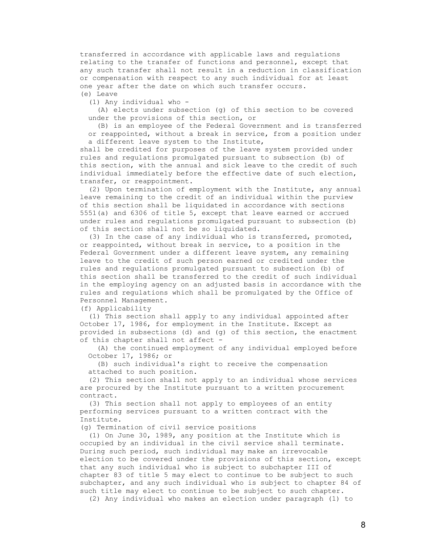transferred in accordance with applicable laws and regulations relating to the transfer of functions and personnel, except that any such transfer shall not result in a reduction in classification or compensation with respect to any such individual for at least one year after the date on which such transfer occurs. (e) Leave

(1) Any individual who -

 (A) elects under subsection (g) of this section to be covered under the provisions of this section, or

 (B) is an employee of the Federal Government and is transferred or reappointed, without a break in service, from a position under a different leave system to the Institute,

 shall be credited for purposes of the leave system provided under rules and regulations promulgated pursuant to subsection (b) of this section, with the annual and sick leave to the credit of such individual immediately before the effective date of such election, transfer, or reappointment.

 (2) Upon termination of employment with the Institute, any annual leave remaining to the credit of an individual within the purview of this section shall be liquidated in accordance with sections 5551(a) and 6306 of title 5, except that leave earned or accrued under rules and regulations promulgated pursuant to subsection (b) of this section shall not be so liquidated.

 (3) In the case of any individual who is transferred, promoted, or reappointed, without break in service, to a position in the Federal Government under a different leave system, any remaining leave to the credit of such person earned or credited under the rules and regulations promulgated pursuant to subsection (b) of this section shall be transferred to the credit of such individual in the employing agency on an adjusted basis in accordance with the rules and regulations which shall be promulgated by the Office of Personnel Management.

(f) Applicability

 (1) This section shall apply to any individual appointed after October 17, 1986, for employment in the Institute. Except as provided in subsections (d) and (g) of this section, the enactment of this chapter shall not affect -

 (A) the continued employment of any individual employed before October 17, 1986; or

 (B) such individual's right to receive the compensation attached to such position.

 (2) This section shall not apply to an individual whose services are procured by the Institute pursuant to a written procurement contract.

 (3) This section shall not apply to employees of an entity performing services pursuant to a written contract with the Institute.

(g) Termination of civil service positions

 (1) On June 30, 1989, any position at the Institute which is occupied by an individual in the civil service shall terminate. During such period, such individual may make an irrevocable election to be covered under the provisions of this section, except that any such individual who is subject to subchapter III of chapter 83 of title 5 may elect to continue to be subject to such subchapter, and any such individual who is subject to chapter 84 of such title may elect to continue to be subject to such chapter.

(2) Any individual who makes an election under paragraph (1) to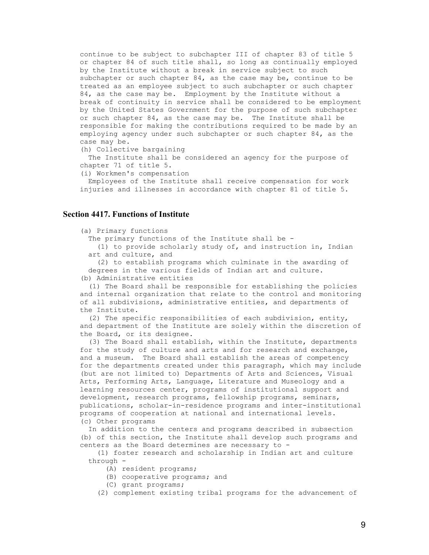continue to be subject to subchapter III of chapter 83 of title 5 or chapter 84 of such title shall, so long as continually employed by the Institute without a break in service subject to such subchapter or such chapter 84, as the case may be, continue to be treated as an employee subject to such subchapter or such chapter 84, as the case may be. Employment by the Institute without a break of continuity in service shall be considered to be employment by the United States Government for the purpose of such subchapter or such chapter 84, as the case may be. The Institute shall be responsible for making the contributions required to be made by an employing agency under such subchapter or such chapter 84, as the case may be.

(h) Collective bargaining

 The Institute shall be considered an agency for the purpose of chapter 71 of title 5.

(i) Workmen's compensation

 Employees of the Institute shall receive compensation for work injuries and illnesses in accordance with chapter 81 of title 5.

## **Section 4417. Functions of Institute**

#### (a) Primary functions

The primary functions of the Institute shall be -

 (1) to provide scholarly study of, and instruction in, Indian art and culture, and

 (2) to establish programs which culminate in the awarding of degrees in the various fields of Indian art and culture.

(b) Administrative entities

 (1) The Board shall be responsible for establishing the policies and internal organization that relate to the control and monitoring of all subdivisions, administrative entities, and departments of the Institute.

 (2) The specific responsibilities of each subdivision, entity, and department of the Institute are solely within the discretion of the Board, or its designee.

 (3) The Board shall establish, within the Institute, departments for the study of culture and arts and for research and exchange, and a museum. The Board shall establish the areas of competency for the departments created under this paragraph, which may include (but are not limited to) Departments of Arts and Sciences, Visual Arts, Performing Arts, Language, Literature and Museology and a learning resources center, programs of institutional support and development, research programs, fellowship programs, seminars, publications, scholar-in-residence programs and inter-institutional programs of cooperation at national and international levels. (c) Other programs

 In addition to the centers and programs described in subsection (b) of this section, the Institute shall develop such programs and centers as the Board determines are necessary to -

 (1) foster research and scholarship in Indian art and culture through -

(A) resident programs;

- (B) cooperative programs; and
- (C) grant programs;

(2) complement existing tribal programs for the advancement of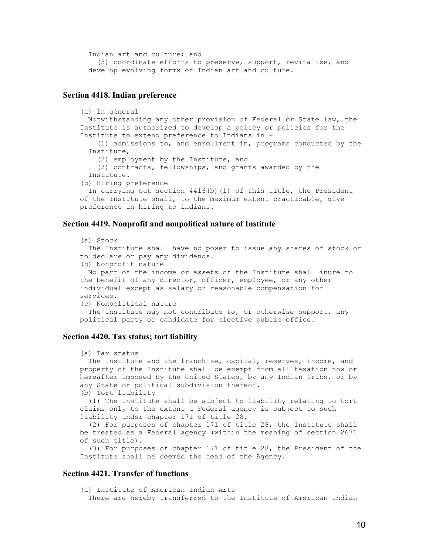Indian art and culture; and (3) coordinate efforts to preserve, support, revitalize, and develop evolving forms of Indian art and culture.

## **Section 4418. Indian preference**

```
 (a) In general 
 Notwithstanding any other provision of Federal or State law, the 
Institute is authorized to develop a policy or policies for the 
Institute to extend preference to Indians in - 
    (1) admissions to, and enrollment in, programs conducted by the 
  Institute, 
    (2) employment by the Institute, and 
    (3) contracts, fellowships, and grants awarded by the 
  Institute. 
(b) Hiring preference 
 In carrying out section 4416(b)(1) of this title, the President 
of the Institute shall, to the maximum extent practicable, give 
preference in hiring to Indians.
```
## **Section 4419. Nonprofit and nonpolitical nature of Institute**

```
 (a) Stock 
 The Institute shall have no power to issue any shares of stock or 
to declare or pay any dividends. 
(b) Nonprofit nature 
 No part of the income or assets of the Institute shall inure to 
the benefit of any director, officer, employee, or any other 
individual except as salary or reasonable compensation for 
services. 
(c) Nonpolitical nature 
The Institute may not contribute to, or otherwise support, any
political party or candidate for elective public office.
```
## **Section 4420. Tax status; tort liability**

```
 (a) Tax status 
 The Institute and the franchise, capital, reserves, income, and
property of the Institute shall be exempt from all taxation now or 
hereafter imposed by the United States, by any Indian tribe, or by 
any State or political subdivision thereof. 
(b) Tort liability 
  (1) The Institute shall be subject to liability relating to tort 
claims only to the extent a Federal agency is subject to such 
liability under chapter 171 of title 28. 
  (2) For purposes of chapter 171 of title 28, the Institute shall 
be treated as a Federal agency (within the meaning of section 2671 
of such title). 
  (3) For purposes of chapter 171 of title 28, the President of the 
Institute shall be deemed the head of the Agency.
```
# **Section 4421. Transfer of functions**

 (a) Institute of American Indian Arts There are hereby transferred to the Institute of American Indian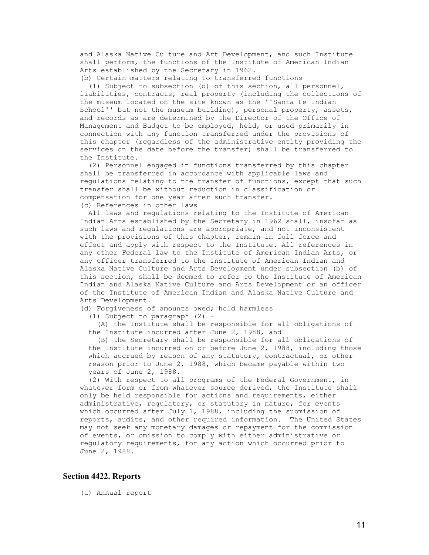and Alaska Native Culture and Art Development, and such Institute shall perform, the functions of the Institute of American Indian Arts established by the Secretary in 1962.

 (b) Certain matters relating to transferred functions (1) Subject to subsection (d) of this section, all personnel, liabilities, contracts, real property (including the collections of the museum located on the site known as the ''Santa Fe Indian School'' but not the museum building), personal property, assets, and records as are determined by the Director of the Office of Management and Budget to be employed, held, or used primarily in connection with any function transferred under the provisions of this chapter (regardless of the administrative entity providing the services on the date before the transfer) shall be transferred to the Institute.

 (2) Personnel engaged in functions transferred by this chapter shall be transferred in accordance with applicable laws and regulations relating to the transfer of functions, except that such transfer shall be without reduction in classification or compensation for one year after such transfer. (c) References in other laws

 All laws and regulations relating to the Institute of American Indian Arts established by the Secretary in 1962 shall, insofar as such laws and regulations are appropriate, and not inconsistent with the provisions of this chapter, remain in full force and effect and apply with respect to the Institute. All references in any other Federal law to the Institute of American Indian Arts, or any officer transferred to the Institute of American Indian and Alaska Native Culture and Arts Development under subsection (b) of this section, shall be deemed to refer to the Institute of American Indian and Alaska Native Culture and Arts Development or an officer of the Institute of American Indian and Alaska Native Culture and Arts Development.

(d) Forgiveness of amounts owed; hold harmless

(1) Subject to paragraph (2) -

 (A) the Institute shall be responsible for all obligations of the Institute incurred after June 2, 1988, and

 (B) the Secretary shall be responsible for all obligations of the Institute incurred on or before June 2, 1988, including those which accrued by reason of any statutory, contractual, or other reason prior to June 2, 1988, which became payable within two years of June 2, 1988.

 (2) With respect to all programs of the Federal Government, in whatever form or from whatever source derived, the Institute shall only be held responsible for actions and requirements, either administrative, regulatory, or statutory in nature, for events which occurred after July 1, 1988, including the submission of reports, audits, and other required information. The United States may not seek any monetary damages or repayment for the commission of events, or omission to comply with either administrative or regulatory requirements, for any action which occurred prior to June 2, 1988.

## **Section 4422. Reports**

(a) Annual report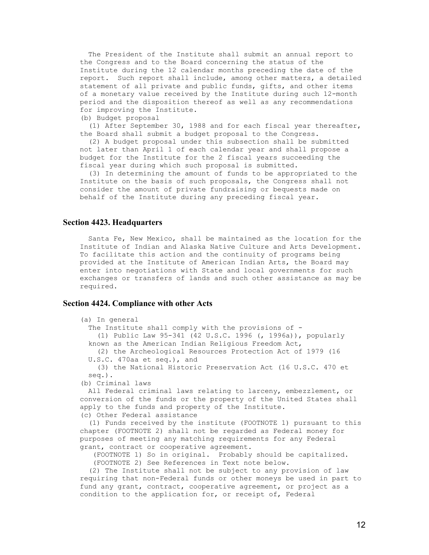The President of the Institute shall submit an annual report to the Congress and to the Board concerning the status of the Institute during the 12 calendar months preceding the date of the report. Such report shall include, among other matters, a detailed statement of all private and public funds, gifts, and other items of a monetary value received by the Institute during such 12-month period and the disposition thereof as well as any recommendations for improving the Institute.

(b) Budget proposal

 (1) After September 30, 1988 and for each fiscal year thereafter, the Board shall submit a budget proposal to the Congress.

 (2) A budget proposal under this subsection shall be submitted not later than April 1 of each calendar year and shall propose a budget for the Institute for the 2 fiscal years succeeding the fiscal year during which such proposal is submitted.

 (3) In determining the amount of funds to be appropriated to the Institute on the basis of such proposals, the Congress shall not consider the amount of private fundraising or bequests made on behalf of the Institute during any preceding fiscal year.

## **Section 4423. Headquarters**

 Santa Fe, New Mexico, shall be maintained as the location for the Institute of Indian and Alaska Native Culture and Arts Development. To facilitate this action and the continuity of programs being provided at the Institute of American Indian Arts, the Board may enter into negotiations with State and local governments for such exchanges or transfers of lands and such other assistance as may be required.

#### **Section 4424. Compliance with other Acts**

| (a) In general                                                     |
|--------------------------------------------------------------------|
| The Institute shall comply with the provisions of -                |
| (1) Public Law 95-341 (42 U.S.C. 1996 (, 1996a)), popularly        |
| known as the American Indian Religious Freedom Act,                |
| (2) the Archeological Resources Protection Act of 1979 (16         |
| $U.S.C.$ 470aa et seq.), and                                       |
|                                                                    |
| (3) the National Historic Preservation Act (16 U.S.C. 470 et       |
| $seq.$ ).                                                          |
| (b) Criminal laws                                                  |
| All Federal criminal laws relating to larceny, embezzlement, or    |
| conversion of the funds or the property of the United States shall |
| apply to the funds and property of the Institute.                  |
| (c) Other Federal assistance                                       |
| (1) Funds received by the institute (FOOTNOTE 1) pursuant to this  |
| chapter (FOOTNOTE 2) shall not be regarded as Federal money for    |
| purposes of meeting any matching requirements for any Federal      |
| grant, contract or cooperative agreement.                          |
| (FOOTNOTE 1) So in original. Probably should be capitalized.       |
|                                                                    |
| (FOOTNOTE 2) See References in Text note below.                    |
| (2) The Institute shall not be subject to any provision of law     |

 requiring that non-Federal funds or other moneys be used in part to fund any grant, contract, cooperative agreement, or project as a condition to the application for, or receipt of, Federal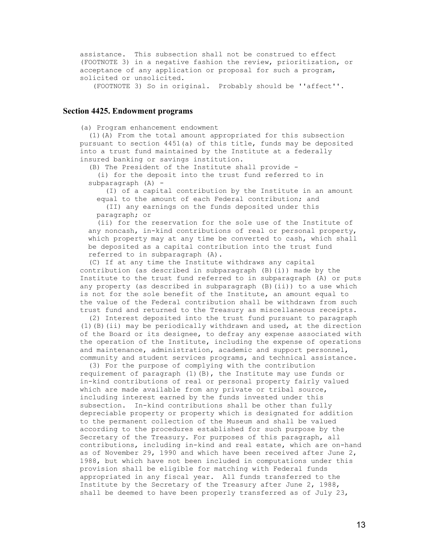assistance. This subsection shall not be construed to effect (FOOTNOTE 3) in a negative fashion the review, prioritization, or acceptance of any application or proposal for such a program, solicited or unsolicited.

(FOOTNOTE 3) So in original. Probably should be ''affect''.

## **Section 4425. Endowment programs**

(a) Program enhancement endowment

 (1)(A) From the total amount appropriated for this subsection pursuant to section 4451(a) of this title, funds may be deposited into a trust fund maintained by the Institute at a federally insured banking or savings institution.

(B) The President of the Institute shall provide -

 (i) for the deposit into the trust fund referred to in subparagraph  $(A)$  -

 (I) of a capital contribution by the Institute in an amount equal to the amount of each Federal contribution; and (II) any earnings on the funds deposited under this paragraph; or

 (ii) for the reservation for the sole use of the Institute of any noncash, in-kind contributions of real or personal property, which property may at any time be converted to cash, which shall be deposited as a capital contribution into the trust fund referred to in subparagraph (A).

 (C) If at any time the Institute withdraws any capital contribution (as described in subparagraph (B)(i)) made by the Institute to the trust fund referred to in subparagraph (A) or puts any property (as described in subparagraph (B)(ii)) to a use which is not for the sole benefit of the Institute, an amount equal to the value of the Federal contribution shall be withdrawn from such trust fund and returned to the Treasury as miscellaneous receipts.

 (2) Interest deposited into the trust fund pursuant to paragraph (1)(B)(ii) may be periodically withdrawn and used, at the direction of the Board or its designee, to defray any expense associated with the operation of the Institute, including the expense of operations and maintenance, administration, academic and support personnel, community and student services programs, and technical assistance.

 (3) For the purpose of complying with the contribution requirement of paragraph (1)(B), the Institute may use funds or in-kind contributions of real or personal property fairly valued which are made available from any private or tribal source, including interest earned by the funds invested under this subsection. In-kind contributions shall be other than fully depreciable property or property which is designated for addition to the permanent collection of the Museum and shall be valued according to the procedures established for such purpose by the Secretary of the Treasury. For purposes of this paragraph, all contributions, including in-kind and real estate, which are on-hand as of November 29, 1990 and which have been received after June 2, 1988, but which have not been included in computations under this provision shall be eligible for matching with Federal funds appropriated in any fiscal year. All funds transferred to the Institute by the Secretary of the Treasury after June 2, 1988, shall be deemed to have been properly transferred as of July 23,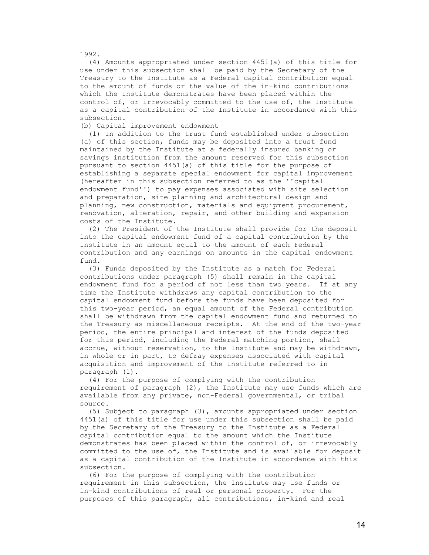1992.

 (4) Amounts appropriated under section 4451(a) of this title for use under this subsection shall be paid by the Secretary of the Treasury to the Institute as a Federal capital contribution equal to the amount of funds or the value of the in-kind contributions which the Institute demonstrates have been placed within the control of, or irrevocably committed to the use of, the Institute as a capital contribution of the Institute in accordance with this subsection.

(b) Capital improvement endowment

 (1) In addition to the trust fund established under subsection (a) of this section, funds may be deposited into a trust fund maintained by the Institute at a federally insured banking or savings institution from the amount reserved for this subsection pursuant to section 4451(a) of this title for the purpose of establishing a separate special endowment for capital improvement (hereafter in this subsection referred to as the ''capital endowment fund'') to pay expenses associated with site selection and preparation, site planning and architectural design and planning, new construction, materials and equipment procurement, renovation, alteration, repair, and other building and expansion costs of the Institute.

 (2) The President of the Institute shall provide for the deposit into the capital endowment fund of a capital contribution by the Institute in an amount equal to the amount of each Federal contribution and any earnings on amounts in the capital endowment fund.

 (3) Funds deposited by the Institute as a match for Federal contributions under paragraph (5) shall remain in the capital endowment fund for a period of not less than two years. If at any time the Institute withdraws any capital contribution to the capital endowment fund before the funds have been deposited for this two-year period, an equal amount of the Federal contribution shall be withdrawn from the capital endowment fund and returned to the Treasury as miscellaneous receipts. At the end of the two-year period, the entire principal and interest of the funds deposited for this period, including the Federal matching portion, shall accrue, without reservation, to the Institute and may be withdrawn, in whole or in part, to defray expenses associated with capital acquisition and improvement of the Institute referred to in paragraph (1).

 (4) For the purpose of complying with the contribution requirement of paragraph (2), the Institute may use funds which are available from any private, non-Federal governmental, or tribal source.

 (5) Subject to paragraph (3), amounts appropriated under section 4451(a) of this title for use under this subsection shall be paid by the Secretary of the Treasury to the Institute as a Federal capital contribution equal to the amount which the Institute demonstrates has been placed within the control of, or irrevocably committed to the use of, the Institute and is available for deposit as a capital contribution of the Institute in accordance with this subsection.

 (6) For the purpose of complying with the contribution requirement in this subsection, the Institute may use funds or in-kind contributions of real or personal property. For the purposes of this paragraph, all contributions, in-kind and real